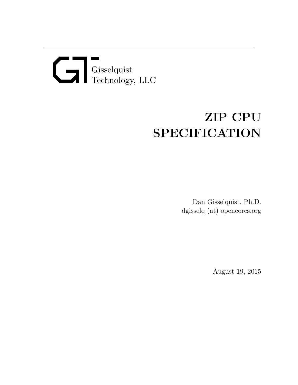## Gisselquist Technology, LLC

## ZIP CPU SPECIFICATION

Dan Gisselquist, Ph.D. dgisselq (at) opencores.org

August 19, 2015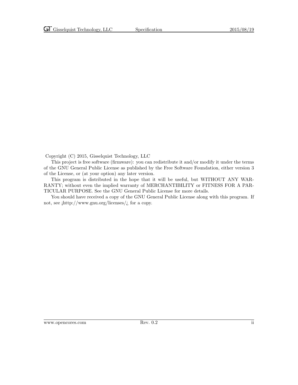Copyright (C) 2015, Gisselquist Technology, LLC

This project is free software (firmware): you can redistribute it and/or modify it under the terms of the GNU General Public License as published by the Free Software Foundation, either version 3 of the License, or (at your option) any later version.

This program is distributed in the hope that it will be useful, but WITHOUT ANY WAR-RANTY; without even the implied warranty of MERCHANTIBILITY or FITNESS FOR A PAR-TICULAR PURPOSE. See the GNU General Public License for more details.

You should have received a copy of the GNU General Public License along with this program. If not, see  $\frac{\text{http://www.gnu.org/} \cdot \text{circes}}{\text{...}}$  for a copy.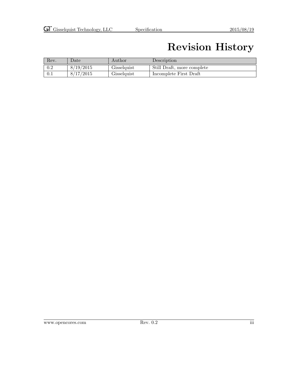## Revision History

| Rev. | $_{\text{Date}}$ | Author      | Description                |
|------|------------------|-------------|----------------------------|
| 0.2  | 8/19/2015        | Gisselquist | Still Draft, more complete |
| 0.1  | 8/17/2015        | Gisselquist | Incomplete First Draft     |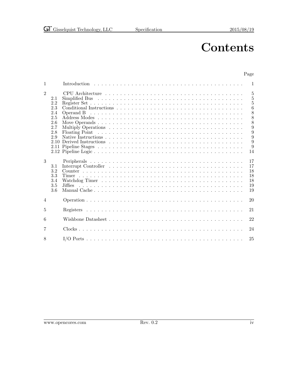## **Contents**

### Page

| 1              |                                                                     | 1                                                                                                     |
|----------------|---------------------------------------------------------------------|-------------------------------------------------------------------------------------------------------|
| $\overline{2}$ | 2.1<br>2.2<br>2.3<br>2.4<br>2.5<br>2.6<br>2.7<br>2.8<br>2.9<br>2.10 | 5<br>$\overline{5}$<br>$\bf 5$<br>6<br>$\frac{8}{8}$<br>Operand B<br>8<br>9<br>9<br>9<br>9<br>9<br>14 |
| 3              | 3.1<br>3.2<br>3.3<br>3.4<br>3.5<br>3.6                              | 17<br>17<br>18<br>18<br>18<br>19<br>19                                                                |
| 4              |                                                                     | 20                                                                                                    |
| 5              |                                                                     | 21                                                                                                    |
| 6              |                                                                     | 22                                                                                                    |
| 7              |                                                                     | 24                                                                                                    |
| 8              |                                                                     | 25                                                                                                    |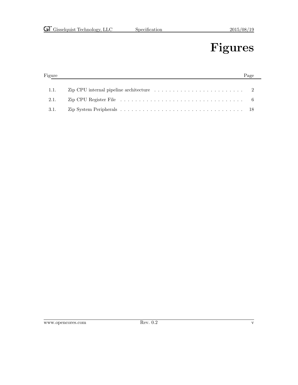## Figures

| Figure |                                                                                                                  |  |
|--------|------------------------------------------------------------------------------------------------------------------|--|
|        |                                                                                                                  |  |
| 1.1.   | Zip CPU internal pipeline architecture $\ldots \ldots \ldots \ldots \ldots \ldots \ldots \ldots$                 |  |
| 2.1.   | Zip CPU Register File response to the contract of the contract of the contract of the contract of the contract o |  |
| 3.1.   |                                                                                                                  |  |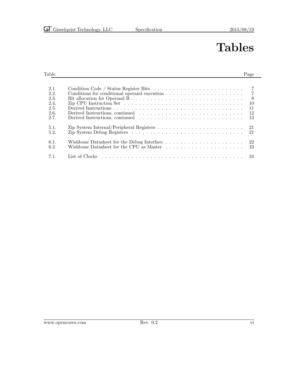## Tables

### Table Page **Page 2018**

| 2.1. |                                                                                                               |
|------|---------------------------------------------------------------------------------------------------------------|
| 2.2. |                                                                                                               |
| 2.3. | 8 <sup>8</sup>                                                                                                |
| 2.4. | Zip CPU Instruction Set $\dots \dots \dots \dots \dots \dots \dots \dots \dots \dots \dots \dots \dots$<br>10 |
| 2.5. | 11                                                                                                            |
| 2.6. | -12                                                                                                           |
| 2.7. | -13-                                                                                                          |
| 5.1. | Zip System Internal/Peripheral Registers $\dots \dots \dots \dots \dots \dots \dots \dots \dots \dots$        |
| 5.2. | -21                                                                                                           |
| 6.1. | Wishbone Datasheet for the Debug Interface $\dots \dots \dots \dots \dots \dots \dots \dots \dots$ 22         |
| 6.2. | Wishbone Datasheet for the CPU as Master<br>23                                                                |
| 7.1. |                                                                                                               |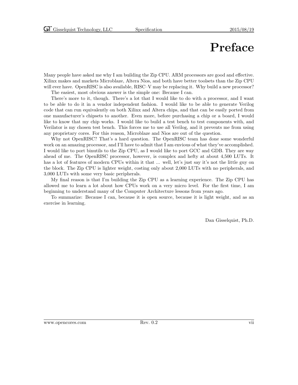## Preface

Many people have asked me why I am building the Zip CPU. ARM processors are good and effective. Xilinx makes and markets Microblaze, Altera Nios, and both have better toolsets than the Zip CPU will ever have. OpenRISC is also available, RISC–V may be replacing it. Why build a new processor?

The easiest, most obvious answer is the simple one: Because I can.

There's more to it, though. There's a lot that I would like to do with a processor, and I want to be able to do it in a vendor independent fashion. I would like to be able to generate Verilog code that can run equivalently on both Xilinx and Altera chips, and that can be easily ported from one manufacturer's chipsets to another. Even more, before purchasing a chip or a board, I would like to know that my chip works. I would like to build a test bench to test components with, and Verilator is my chosen test bench. This forces me to use all Verilog, and it prevents me from using any proprietary cores. For this reason, Microblaze and Nios are out of the question.

Why not OpenRISC? That's a hard question. The OpenRISC team has done some wonderful work on an amazing processor, and I'll have to admit that I am envious of what they've accomplished. I would like to port binutils to the Zip CPU, as I would like to port GCC and GDB. They are way ahead of me. The OpenRISC processor, however, is complex and hefty at about 4,500 LUTs. It has a lot of features of modern CPUs within it that ... well, let's just say it's not the little guy on the block. The Zip CPU is lighter weight, costing only about 2,000 LUTs with no peripherals, and 3,000 LUTs with some very basic peripherals.

My final reason is that I'm building the Zip CPU as a learning experience. The Zip CPU has allowed me to learn a lot about how CPUs work on a very micro level. For the first time, I am beginning to understand many of the Computer Architecture lessons from years ago.

To summarize: Because I can, because it is open source, because it is light weight, and as an exercise in learning.

Dan Gisselquist, Ph.D.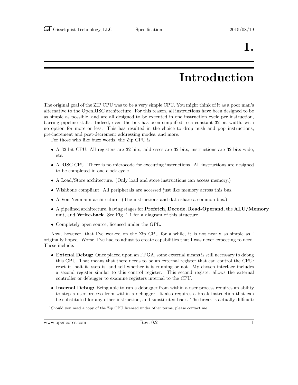## Introduction

The original goal of the ZIP CPU was to be a very simple CPU. You might think of it as a poor man's alternative to the OpenRISC architecture. For this reason, all instructions have been designed to be as simple as possible, and are all designed to be executed in one instruction cycle per instruction, barring pipeline stalls. Indeed, even the bus has been simplified to a constant 32-bit width, with no option for more or less. This has resulted in the choice to drop push and pop instructions, pre-increment and post-decrement addressing modes, and more.

For those who like buzz words, the Zip CPU is:

- A 32-bit CPU: All registers are 32-bits, addresses are 32-bits, instructions are 32-bits wide, etc.
- A RISC CPU. There is no microcode for executing instructions. All instructions are designed to be completed in one clock cycle.
- A Load/Store architecture. (Only load and store instructions can access memory.)
- Wishbone compliant. All peripherals are accessed just like memory across this bus.
- A Von-Neumann architecture. (The instructions and data share a common bus.)
- A pipelined architecture, having stages for Prefetch, Decode, Read-Operand, the ALU/Memory unit, and Write-back. See Fig. 1.1 for a diagram of this structure.
- Completely open source, licensed under the GPL.<sup>1</sup>

Now, however, that I've worked on the Zip CPU for a while, it is not nearly as simple as I originally hoped. Worse, I've had to adjust to create capabilities that I was never expecting to need. These include:

- Extenal Debug: Once placed upon an FPGA, some external means is still necessary to debug this CPU. That means that there needs to be an external register that can control the CPU: reset it, halt it, step it, and tell whether it is running or not. My chosen interface includes a second register similar to this control register. This second register allows the external controller or debugger to examine registers internal to the CPU.
- Internal Debug: Being able to run a debugger from within a user process requires an ability to step a user process from within a debugger. It also requires a break instruction that can be substituted for any other instruction, and substituted back. The break is actually difficult:

www.opencores.com Rev. 0.2 1

<sup>&</sup>lt;sup>1</sup>Should you need a copy of the Zip CPU licensed under other terms, please contact me.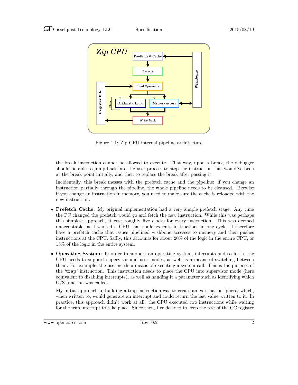

Figure 1.1: Zip CPU internal pipeline architecture

the break instruction cannot be allowed to execute. That way, upon a break, the debugger should be able to jump back into the user process to step the instruction that would've been at the break point initially, and then to replace the break after passing it.

Incidentally, this break messes with the prefetch cache and the pipeline: if you change an instruction partially through the pipeline, the whole pipeline needs to be cleansed. Likewise if you change an instruction in memory, you need to make sure the cache is reloaded with the new instruction.

- Prefetch Cache: My original implementation had a very simple prefetch stage. Any time the PC changed the prefetch would go and fetch the new instruction. While this was perhaps this simplest approach, it cost roughly five clocks for every instruction. This was deemed unacceptable, as I wanted a CPU that could execute instructions in one cycle. I therefore have a prefetch cache that issues pipelined wishbone accesses to memory and then pushes instructions at the CPU. Sadly, this accounts for about 20% of the logic in the entire CPU, or 15% of the logic in the entire system.
- Operating System: In order to support an operating system, interrupts and so forth, the CPU needs to support supervisor and user modes, as well as a means of switching between them. For example, the user needs a means of executing a system call. This is the purpose of the 'trap' instruction. This instruction needs to place the CPU into supervisor mode (here equivalent to disabling interrupts), as well as handing it a parameter such as identifying which O/S function was called.

My initial approach to building a trap instruction was to create an external peripheral which, when written to, would generate an interrupt and could return the last value written to it. In practice, this approach didn't work at all: the CPU executed two instructions while waiting for the trap interrupt to take place. Since then, I've decided to keep the rest of the CC register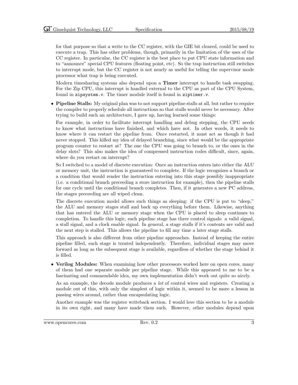for that purpose so that a write to the CC register, with the GIE bit cleared, could be used to execute a trap. This has other problems, though, primarily in the limitation of the uses of the CC register. In particular, the CC register is the best place to put CPU state information and to "announce" special CPU features (floating point, etc). So the trap instruction still switches to interrupt mode, but the CC register is not nearly as useful for telling the supervisor mode processor what trap is being executed.

Modern timesharing systems also depend upon a Timer interrupt to handle task swapping. For the Zip CPU, this interrupt is handled external to the CPU as part of the CPU System, found in zipsystem.v. The timer module itself is found in ziptimer.v.

• Pipeline Stalls: My original plan was to not support pipeline stalls at all, but rather to require the compiler to properly schedule all instructions so that stalls would never be necessary. After trying to build such an architecture, I gave up, having learned some things:

For example, in order to facilitate interrupt handling and debug stepping, the CPU needs to know what instructions have finished, and which have not. In other words, it needs to know where it can restart the pipeline from. Once restarted, it must act as though it had never stopped. This killed my idea of delayed branching, since what would be the appropriate program counter to restart at? The one the CPU was going to branch to, or the ones in the delay slots? This also makes the idea of compressed instruction codes difficult, since, again, where do you restart on interrupt?

So I switched to a model of discrete execution: Once an instruction enters into either the ALU or memory unit, the instruction is guaranteed to complete. If the logic recognizes a branch or a condition that would render the instruction entering into this stage possibly inappropriate (i.e. a conditional branch preceeding a store instruction for example), then the pipeline stalls for one cycle until the conditional branch completes. Then, if it generates a new PC address, the stages preceeding are all wiped clean.

The discrete execution model allows such things as sleeping: if the CPU is put to "sleep," the ALU and memory stages stall and back up everything before them. Likewise, anything that has entered the ALU or memory stage when the CPU is placed to sleep continues to completion. To handle this logic, each pipeline stage has three control signals: a valid signal, a stall signal, and a clock enable signal. In general, a stage stalls if it's contents are valid and the next step is stalled. This allows the pipeline to fill any time a later stage stalls.

This approach is also different from other pipeline approaches. Instead of keeping the entire pipeline filled, each stage is treated independently. Therefore, individual stages may move forward as long as the subsequent stage is available, regardless of whether the stage behind it is filled.

• Verilog Modules: When examining how other processors worked here on open cores, many of them had one separate module per pipeline stage. While this appeared to me to be a fascinating and commendable idea, my own implementation didn't work out quite so nicely.

As an example, the decode module produces a lot of control wires and registers. Creating a module out of this, with only the simplest of logic within it, seemed to be more a lesson in passing wires around, rather than encapsulating logic.

Another example was the register writeback section. I would love this section to be a module in its own right, and many have made them such. However, other modules depend upon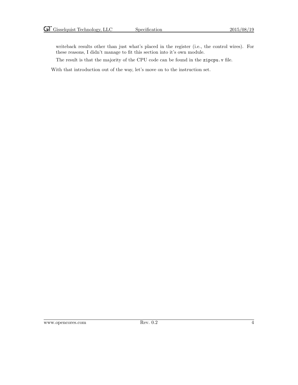writeback results other than just what's placed in the register (i.e., the control wires). For these reasons, I didn't manage to fit this section into it's own module.

The result is that the majority of the CPU code can be found in the zipcpu.v file.

With that introduction out of the way, let's move on to the instruction set.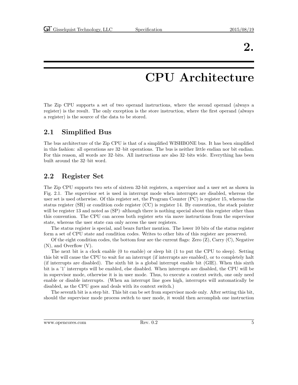## CPU Architecture

The Zip CPU supports a set of two operand instructions, where the second operand (always a register) is the result. The only exception is the store instruction, where the first operand (always a register) is the source of the data to be stored.

### 2.1 Simplified Bus

The bus architecture of the Zip CPU is that of a simplified WISHBONE bus. It has been simplified in this fashion: all operations are 32–bit operations. The bus is neither little endian nor bit endian. For this reason, all words are 32–bits. All instructions are also 32–bits wide. Everything has been built around the 32–bit word.

### 2.2 Register Set

The Zip CPU supports two sets of sixteen 32-bit registers, a supervisor and a user set as shown in Fig. 2.1. The supervisor set is used in interrupt mode when interrupts are disabled, whereas the user set is used otherwise. Of this register set, the Program Counter (PC) is register 15, whereas the status register (SR) or condition code register (CC) is register 14. By convention, the stack pointer will be register 13 and noted as  $(SP)$ –although there is nothing special about this register other than this convention. The CPU can access both register sets via move instructions from the supervisor state, whereas the user state can only access the user registers.

The status register is special, and bears further mention. The lower 10 bits of the status register form a set of CPU state and condition codes. Writes to other bits of this register are preserved.

Of the eight condition codes, the bottom four are the current flags: Zero  $(Z)$ , Carry  $(C)$ , Negative (N), and Overflow (V).

The next bit is a clock enable (0 to enable) or sleep bit (1 to put the CPU to sleep). Setting this bit will cause the CPU to wait for an interrupt (if interrupts are enabled), or to completely halt (if interrupts are disabled). The sixth bit is a global interrupt enable bit (GIE). When this sixth bit is a '1' interrupts will be enabled, else disabled. When interrupts are disabled, the CPU will be in supervisor mode, otherwise it is in user mode. Thus, to execute a context switch, one only need enable or disable interrupts. (When an interrupt line goes high, interrupts will automatically be disabled, as the CPU goes and deals with its context switch.)

The seventh bit is a step bit. This bit can be set from supervisor mode only. After setting this bit, should the supervisor mode process switch to user mode, it would then accomplish one instruction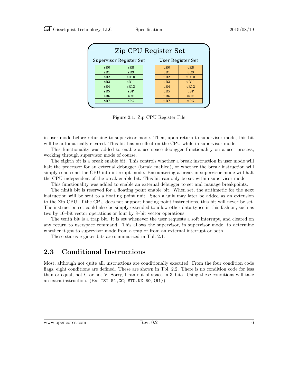| Zip CPU Register Set                                |            |  |                 |            |  |  |
|-----------------------------------------------------|------------|--|-----------------|------------|--|--|
| <b>Supervisor Register Set</b><br>User Register Set |            |  |                 |            |  |  |
| sR0                                                 | sR8        |  | uR0             | uR8        |  |  |
| sR1                                                 | sR9        |  | uR1             | uR9        |  |  |
| sR2                                                 | sR10       |  | uR2             | uR10       |  |  |
| SR3                                                 | sR11       |  | uR3             | uR11       |  |  |
| sR4                                                 | sR12       |  | uR4             | uR12       |  |  |
| sR5                                                 | <b>sSP</b> |  | uR5             | <b>uSP</b> |  |  |
| sR6                                                 | SCC        |  | uR <sub>6</sub> | ucC        |  |  |
| sR7                                                 | SPC        |  | uR7             | uPC        |  |  |

Figure 2.1: Zip CPU Register File

in user mode before returning to supervisor mode. Then, upon return to supervisor mode, this bit will be automatically cleared. This bit has no effect on the CPU while in supervisor mode.

This functionality was added to enable a userspace debugger functionality on a user process, working through supervisor mode of course.

The eighth bit is a break enable bit. This controls whether a break instruction in user mode will halt the processor for an external debugger (break enabled), or whether the break instruction will simply send send the CPU into interrupt mode. Encountering a break in supervisor mode will halt the CPU independent of the break enable bit. This bit can only be set within supervisor mode.

This functionality was added to enable an external debugger to set and manage breakpoints.

The ninth bit is reserved for a floating point enable bit. When set, the arithmetic for the next instruction will be sent to a floating point unit. Such a unit may later be added as an extension to the Zip CPU. If the CPU does not support floating point instructions, this bit will never be set. The instruction set could also be simply extended to allow other data types in this fashion, such as two by 16–bit vector operations or four by 8–bit vector operations.

The tenth bit is a trap bit. It is set whenever the user requests a soft interrupt, and cleared on any return to userspace command. This allows the supervisor, in supervisor mode, to determine whether it got to supervisor mode from a trap or from an external interrupt or both.

These status register bits are summarized in Tbl. 2.1.

### 2.3 Conditional Instructions

Most, although not quite all, instructions are conditionally executed. From the four condition code flags, eight conditions are defined. These are shown in Tbl. 2.2. There is no condition code for less than or equal, not C or not V. Sorry, I ran out of space in 3–bits. Using these conditions will take an extra instruction. (Ex: TST  $$4, CC; ST0.NZ R0, (R1)$ )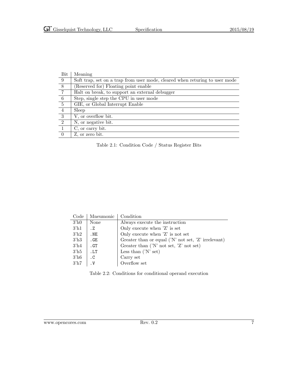| Bit            | Meaning                                                                     |
|----------------|-----------------------------------------------------------------------------|
| 9              | Soft trap, set on a trap from user mode, cleared when returing to user mode |
| $\overline{8}$ | (Reserved for) Floating point enable                                        |
| $\overline{7}$ | Halt on break, to support an external debugger                              |
| - 6            | Step, single step the CPU in user mode                                      |
| -5             | GIE, or Global Interrupt Enable                                             |
| 4              | Sleep                                                                       |
| $\overline{3}$ | V, or overflow bit.                                                         |
| 2              | N, or negative bit.                                                         |
|                | C, or carry bit.                                                            |
| $\Omega$       | Z, or zero bit.                                                             |

Table 2.1: Condition Code / Status Register Bits

| Code             | Mneumonic | Condition                                                            |
|------------------|-----------|----------------------------------------------------------------------|
| 3 <sup>h</sup> 0 | None      | Always execute the instruction                                       |
| $3'$ h1          | Z         | Only execute when $Z'$ is set                                        |
| 3 <sup>h2</sup>  | .NE       | Only execute when 'Z' is not set                                     |
| 3 <sup>h3</sup>  | .GE       | Greater than or equal $(N' \text{ not set}, 'Z' \text{ irrelevant})$ |
| $3'$ h4          | .GT       | Greater than $('N' not set, 'Z' not set)$                            |
| $3^{\prime}$ h5  | .LT       | Less than $(N'$ set)                                                 |
| $3'$ h6          | $\cdot$ C | Carry set                                                            |
| $3'$ h7          | $\cdot$ V | Overflow set                                                         |

Table 2.2: Conditions for conditional operand execution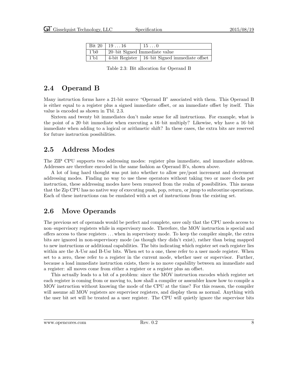|                | Bit 20   19 $\dots$ 16        | $15 \ldots 0$                                   |
|----------------|-------------------------------|-------------------------------------------------|
| $\pm 1$ bo     | 20-bit Signed Immediate value |                                                 |
| 1 <sup>h</sup> |                               | 4-bit Register   16-bit Signed immediate offset |

Table 2.3: Bit allocation for Operand B

### 2.4 Operand B

Many instruction forms have a 21-bit source "Operand B" associated with them. This Operand B is either equal to a register plus a signed immediate offset, or an immediate offset by itself. This value is encoded as shown in Tbl. 2.3.

Sixteen and twenty bit immediates don't make sense for all instructions. For example, what is the point of a 20–bit immediate when executing a 16–bit multiply? Likewise, why have a 16–bit immediate when adding to a logical or arithmetic shift? In these cases, the extra bits are reserved for future instruction possibilities.

### 2.5 Address Modes

The ZIP CPU supports two addressing modes: register plus immediate, and immediate address. Addresses are therefore encoded in the same fashion as Operand B's, shown above.

A lot of long hard thought was put into whether to allow pre/post increment and decrement addressing modes. Finding no way to use these operators without taking two or more clocks per instruction, these addressing modes have been removed from the realm of possibilities. This means that the Zip CPU has no native way of executing push, pop, return, or jump to subroutine operations. Each of these instructions can be emulated with a set of instructions from the existing set.

### 2.6 Move Operands

The previous set of operands would be perfect and complete, save only that the CPU needs access to non–supervisory registers while in supervisory mode. Therefore, the MOV instruction is special and offers access to these registers . . . when in supervisory mode. To keep the compiler simple, the extra bits are ignored in non-supervisory mode (as though they didn't exist), rather than being mapped to new instructions or additional capabilities. The bits indicating which register set each register lies within are the A-Usr and B-Usr bits. When set to a one, these refer to a user mode register. When set to a zero, these refer to a register in the current mode, whether user or supervisor. Further, because a load immediate instruction exists, there is no move capability between an immediate and a register: all moves come from either a register or a register plus an offset.

This actually leads to a bit of a problem: since the MOV instruction encodes which register set each register is coming from or moving to, how shall a compiler or assembler know how to compile a MOV instruction without knowing the mode of the CPU at the time? For this reason, the compiler will assume all MOV registers are supervisor registers, and display them as normal. Anything with the user bit set will be treated as a user register. The CPU will quietly ignore the supervisor bits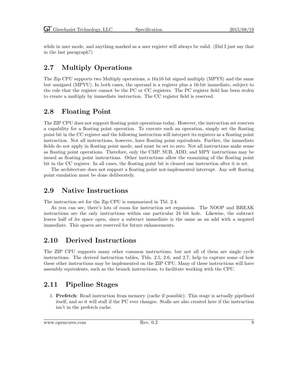while in user mode, and anything marked as a user register will always be valid. (Did I just say that in the last paragraph?)

### 2.7 Multiply Operations

The Zip CPU supports two Multiply operations, a 16x16 bit signed multiply (MPYS) and the same but unsigned (MPYU). In both cases, the operand is a register plus a 16-bit immediate, subject to the rule that the register cannot be the PC or CC registers. The PC register field has been stolen to create a multiply by immediate instruction. The CC register field is reserved.

### 2.8 Floating Point

The ZIP CPU does not support floating point operations today. However, the instruction set reserves a capability for a floating point operation. To execute such an operation, simply set the floating point bit in the CC register and the following instruction will interpret its registers as a floating point instruction. Not all instructions, however, have floating point equivalents. Further, the immediate fields do not apply in floating point mode, and must be set to zero. Not all instructions make sense as floating point operations. Therefore, only the CMP, SUB, ADD, and MPY instructions may be issued as floating point instructions. Other instructions allow the examining of the floating point bit in the CC register. In all cases, the floating point bit is cleared one instruction after it is set.

The architecture does not support a floating point not-implemented interrupt. Any soft floating point emulation must be done deliberately.

### 2.9 Native Instructions

The instruction set for the Zip CPU is summarized in Tbl. 2.4.

As you can see, there's lots of room for instruction set expansion. The NOOP and BREAK instructions are the only instructions within one particular 24–bit hole. Likewise, the subtract leaves half of its space open, since a subtract immediate is the same as an add with a negated immediate. This spaces are reserved for future enhancements.

### 2.10 Derived Instructions

The ZIP CPU supports many other common instructions, but not all of them are single cycle instructions. The derived instruction tables, Tbls. 2.5, 2.6, and 2.7, help to capture some of how these other instructions may be implemented on the ZIP CPU. Many of these instructions will have assembly equivalents, such as the branch instructions, to facilitate working with the CPU.

### 2.11 Pipeline Stages

1. Prefetch: Read instruction from memory (cache if possible). This stage is actually pipelined itself, and so it will stall if the PC ever changes. Stalls are also created here if the instruction isn't in the prefetch cache.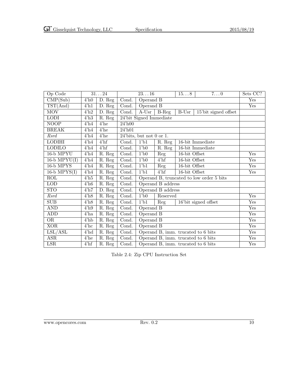| Op Code                  |            | 3124                          | 2316                                        |                                    |                      | 158           | $7. \dots 0$                             | Sets CC? |
|--------------------------|------------|-------------------------------|---------------------------------------------|------------------------------------|----------------------|---------------|------------------------------------------|----------|
| CMP(Sub)                 | $4'$ h $0$ | $\overline{D}$ . Reg          | Cond.                                       | Operand B                          |                      |               | Yes                                      |          |
| TST(And)                 | $4'$ h $1$ | D. Reg                        | Cond.                                       | Operand B                          |                      |               | Yes                                      |          |
| <b>MOV</b>               | 4'h2       | $\overline{D}$ . Reg          | Cond.                                       | $A$ -Usr                           | $B-Reg$              | $B-Usr$       | 15'bit signed offset                     |          |
| <b>LODI</b>              | 4'h3       | R. Reg                        |                                             | 24'bit Signed Immediate            |                      |               |                                          |          |
| $\overline{\text{NOOP}}$ | $4'$ h $4$ | $4'$ he                       | 24'h00                                      |                                    |                      |               |                                          |          |
| <b>BREAK</b>             | $4'$ h $4$ | $4'$ he                       | $24'$ h $01$                                |                                    |                      |               |                                          |          |
| Rsrd                     | $4'$ h $4$ | $4'$ he                       |                                             | $24'$ bits, but not 0 or 1.        |                      |               |                                          |          |
| <b>LODIHI</b>            | $4'$ h $4$ | $4'$ hf                       | Cond.                                       | 1 <sup>1</sup> b1                  | R. Reg               |               | 16-bit Immediate                         |          |
| <b>LODILO</b>            | $4'$ h $4$ | $4'$ hf                       | Cond.                                       | 1 <sup>1</sup> b0                  | $\overline{R}$ . Reg |               | 16-bit Immediate                         |          |
| 16-b MPYU                | $4'$ h $4$ | R. Reg                        | Cond.                                       | $1$ b $0$                          | Reg                  | 16-bit Offset |                                          | Yes      |
| $16-b \; \text{MPYU(I)}$ | $4'$ h $4$ | R. Reg                        | Cond.                                       | 1 <sup>1</sup> b0                  | $4'$ hf              | 16-bit Offset |                                          | Yes      |
| $16-b$ MPYS              | $4'$ h $4$ | $\overline{\mathrm{R}}$ . Reg | Cond.                                       | 1 <sup>1</sup> b1                  | Reg                  | 16-bit Offset |                                          | Yes      |
| $16-b$ MPYS $(I)$        | 4'h4       | R. Reg                        | Cond.                                       | 1 <sup>1</sup> b1                  | $4'$ hf              | 16-bit Offset |                                          | Yes      |
| ROL                      | $4'$ h5    | R. Reg                        | Cond.                                       |                                    |                      |               | Operand B, truncated to low order 5 bits |          |
| LOD                      | 4'h6       | R. Reg                        | Cond.                                       |                                    | Operand B address    |               |                                          |          |
| <b>STO</b>               | 4'h7       | D. Reg                        | Cond.                                       |                                    | Operand B address    |               |                                          |          |
| Rsrd                     | 4'h8       | $\overline{R}$ . Reg          | Cond.                                       | 1 <sup>1</sup> b0                  | Reserved             |               |                                          | Yes      |
| SUB                      | 4'h8       | $\overline{R}$ . Reg          | Cond.                                       | $1$ b <sub>1</sub>                 | Reg                  |               | 16'bit signed offset                     | Yes      |
| <b>AND</b>               | 4'h9       | R. Reg                        | Cond.                                       | Operand B                          |                      | Yes           |                                          |          |
| <b>ADD</b>               | $4'$ ha    | R. Reg                        | Cond.                                       | Operand B                          |                      | Yes           |                                          |          |
| OR                       | $4'$ hb    | R. Reg                        | Cond.                                       | Operand B                          |                      |               | Yes                                      |          |
| <b>XOR</b>               | $4'$ hc    | R. Reg                        | Cond.                                       | Operand B                          |                      |               |                                          | Yes      |
| LSL/ASL                  | 4'hd       | R. Reg                        | Operand B, imm. trucated to 6 bits<br>Cond. |                                    |                      | Yes           |                                          |          |
| ASR                      | $4'$ he    | R. Reg                        | Cond.                                       |                                    |                      |               | Operand B, imm. trucated to 6 bits       | Yes      |
| LSR                      | $4'$ hf    | R. Reg                        | Cond.                                       | Operand B, imm. trucated to 6 bits |                      | Yes           |                                          |          |

Table 2.4: Zip CPU Instruction Set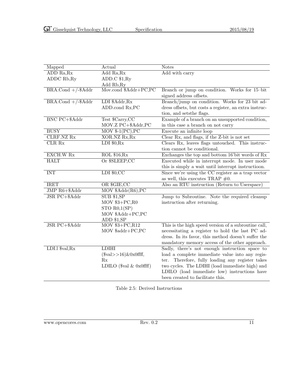| Mapped                      | Actual                                                    | <b>Notes</b>                                           |
|-----------------------------|-----------------------------------------------------------|--------------------------------------------------------|
| ADD Ra, Rx                  | Add Ra, Rx                                                | Add with carry                                         |
| ADDC Rb, Ry                 | ADD.C \$1, Ry                                             |                                                        |
|                             | Add Rb, Ry                                                |                                                        |
| $BRA$ .Cond $+/-$ \$Addr    | Mov.cond \$Addr+PC,PC                                     | Branch or jump on condition. Works for 15-bit          |
|                             |                                                           | signed address offsets.                                |
| $BRA$ .Cond $+/-$ \$Addr    | LDI \$Addr, Rx                                            | Branch/jump on condition. Works for 23 bit ad-         |
|                             | ADD.cond Rx,PC                                            | dress offsets, but costs a register, an extra instruc- |
|                             |                                                           | tion, and sets<br>the flags.                           |
| <b>BNC PC+\$Addr</b>        | Test \$Carry,CC                                           | Example of a branch on an unsupported condition,       |
|                             | MOV.Z PC+\$Addr,PC                                        | in this case a branch on not carry                     |
| <b>BUSY</b>                 | $\overline{\text{MOV } \$\text{-}1(\text{PC}),\text{PC}}$ | Execute an infinite loop                               |
| <b>CLRF.NZ Rx</b>           | XOR.NZ Rx, Rx                                             | Clear Rx, and flags, if the Z-bit is not set           |
| CLR Rx                      | LDI $$0,Rx$                                               | Clears Rx, leaves flags untouched. This instruc-       |
|                             |                                                           | tion cannot be conditional.                            |
| EXCH.W Rx                   | ROL \$16, Rx                                              | Exchanges the top and bottom 16'bit words of Rx        |
| <b>HALT</b>                 | Or \$SLEEP,CC                                             | Executed while in interrupt mode. In user mode         |
|                             |                                                           | this is simply a wait until interrupt instructioon.    |
| <b>INT</b>                  | $LDI$ \$0,CC                                              | Since we're using the CC register as a trap vector     |
|                             |                                                           | as well, this executes TRAP $#0$ .                     |
| <b>IRET</b>                 | OR \$GIE,CC                                               | Also an RTU instruction (Return to Userspace)          |
| JMP R6+\$Addr               | $MOV$ \$Addr(R6), PC                                      |                                                        |
| JSR PC+\$Addr               | $\overline{\text{SUB }\$1,\text{SP}}$                     | Jump to Subroutine. Note the required cleanup          |
|                             | $MOV$ \$3+ $PC$ , $R$ 0                                   | instruction after returning.                           |
|                             | STO R0,1(SP)                                              |                                                        |
|                             | $\rm MOV$ $\rm \$Addr+PC,PC$                              |                                                        |
|                             | ADD \$1,SP                                                |                                                        |
| JSR PC+\$Addr               | $MOV$ \$3+ $PC, R12$                                      | This is the high speed version of a subroutine call,   |
|                             | MOV \$addr+PC,PC                                          | necessitating a register to hold the last PC ad-       |
|                             |                                                           | dress. In its favor, this method doesn't suffer the    |
|                             |                                                           | mandatory memory access of the other approach.         |
| LDI.1 $\frac{1}{2}$ val, Rx | <b>LDIHI</b>                                              | Sadly, there's not enough instruction space to         |
|                             | $(\$val>>16)$ &0x0ffff,                                   | load a complete immediate value into any regis-        |
|                             | Rx                                                        | Therefore, fully loading any register takes<br>ter.    |
|                             | LDILO $(\$val \& 0x0ffff)$                                | two cycles. The LDIHI (load immediate high) and        |
|                             |                                                           | LDILO (load immediate low) instructions have           |
|                             |                                                           | been created to facilitate this.                       |

Table 2.5: Derived Instructions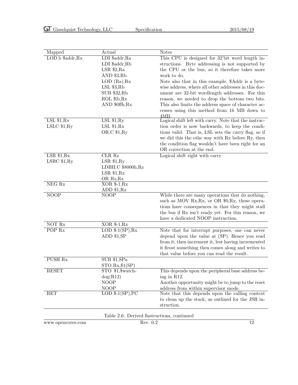| Mapped            | Actual                                     | <b>Notes</b>                                          |
|-------------------|--------------------------------------------|-------------------------------------------------------|
| LOD.b \$addr, Rx  | LDI \$addr, Ra                             | This CPU is designed for 32'bit word length in-       |
|                   | LDI \$addr,Rb                              | structions. Byte addressing is not supported by       |
|                   | $LSR$ \$2,Ra                               | the CPU or the bus, so it therefore takes more        |
|                   | AND $$3,Rb$                                | work to do.                                           |
|                   | LOD (Ra), Rx                               | Note also that in this example, \$Addr is a byte-     |
|                   | $LSL$ \$3, Rb                              | wise address, where all other addresses in this doc-  |
|                   | <b>SUB \$32,Rb</b>                         | ument are 32-bit wordlength addresses. For this       |
|                   | ROL Rb, Rx                                 | reason, we needed to drop the bottom two bits.        |
|                   | AND \$0ffh, Rx                             | This also limits the address space of character ac-   |
|                   |                                            | cesses using this method from 16 MB down to           |
|                   |                                            | 4MB.                                                  |
| LSL \$1,Rx        | $LSL$ \$1, $Ry$                            | Logical shift left with carry. Note that the instruc- |
| LSLC \$1,Ry       | LSL \$1,Rx                                 | tion order is now backwards, to keep the condi-       |
|                   | OR.C \$1, Ry                               | tions valid. That is, LSL sets the carry flag, so if  |
|                   |                                            | we did this the othe way with Rx before Ry, then      |
|                   |                                            | the condition flag wouldn't have been right for an    |
|                   |                                            | OR correction at the end.                             |
| LSR \$1,Rx        | CLR Rz                                     | Logical shift right with carry                        |
| LSRC \$1,Ry       | LSR \$1,Ry                                 |                                                       |
|                   | LDIHI.C \$8000h, Rz                        |                                                       |
|                   | LSR \$1,Rx                                 |                                                       |
|                   | OR Rz, Rx                                  |                                                       |
| $NEG$ Rx          | $XOR$ \$-1, $Rx$                           |                                                       |
| <b>NOOP</b>       | ADD \$1, Rx<br><b>NOOP</b>                 | While there are many operations that do nothing,      |
|                   |                                            | such as MOV Rx, Rx, or OR \$0, Rx, these opera-       |
|                   |                                            | tions have consequences in that they might stall      |
|                   |                                            | the bus if Rx isn't ready yet. For this reason, we    |
|                   |                                            | have a dedicated NOOP instruction.                    |
| NOT Rx            | $XOR$ \$-1, $Rx$                           |                                                       |
| POP <sub>Rx</sub> | LOD $-1(SP)$ , Rx                          | Note that for interrupt purposes, one can never       |
|                   | ADD \$1,SP                                 | depend upon the value at (SP). Hence you read         |
|                   |                                            | from it, then increment it, lest having incremented   |
|                   |                                            | it firost something then comes along and writes to    |
|                   |                                            | that value before you can read the result.            |
| <b>PUSH Rx</b>    | SUB \$1, SPa                               |                                                       |
|                   | $STO Rx$ , $1(SP)$                         |                                                       |
| <b>RESET</b>      | STO \$1,\$watch-                           | This depends upon the peripheral base address be-     |
|                   | $\log(R12)$                                | ing in R12.                                           |
|                   | <b>NOOP</b>                                | Another opportunity might be to jump to the reset     |
|                   | <b>NOOP</b>                                | address from within supervisor mode.                  |
| RET               | LOD $$-1(SP),PC$                           | Note that this depends upon the calling context       |
|                   |                                            | to clean up the stack, as outlined for the JSR in-    |
|                   |                                            | struction.                                            |
|                   |                                            |                                                       |
|                   | Table 2.6: Derived Instructions, continued |                                                       |
| www.opencores.com | Rev. 0.2                                   | 12                                                    |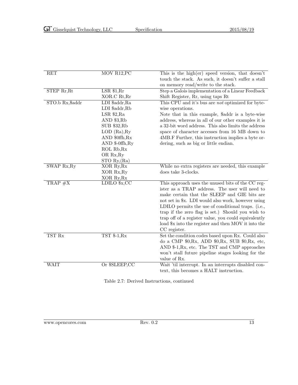| RET              | MOV R12, PC         | This is the high $(\text{er})$ speed version, that doesn't |
|------------------|---------------------|------------------------------------------------------------|
|                  |                     | touch the stack. As such, it doesn't suffer a stall        |
|                  |                     | on memory read/write to the stack.                         |
| STEP Rr, Rt      | LSR \$1, Rr         | Step a Galois implementation of a Linear Feedback          |
|                  | XOR.C Rt, Rr        | Shift Register, Rr, using taps Rt                          |
| STO.b Rx, \$addr | LDI \$addr, Ra      | This CPU and it's bus are not optimized for byte-          |
|                  | LDI \$addr,Rb       | wise operations.                                           |
|                  | $LSR$ \$2,Ra        | Note that in this example, \$addr is a byte-wise           |
|                  | AND \$3,Rb          | address, whereas in all of our other examples it is        |
|                  | SUB \$32,Rb         | a 32-bit word address. This also limits the address        |
|                  | $LOD$ $(Ra)$ , $Ry$ | space of character accesses from 16 MB down to             |
|                  | AND \$0ffh, Rx      | 4MB.F Further, this instruction implies a byte or-         |
|                  | AND \$-0ffh, Ry     | dering, such as big or little endian.                      |
|                  | ROL Rb, Rx          |                                                            |
|                  | OR Rx, Ry           |                                                            |
|                  | STO Ry, (Ra)        |                                                            |
| SWAP Rx, Ry      | XOR Ry, Rx          | While no extra registers are needed, this example          |
|                  | XOR Rx, Ry          | does take 3-clocks.                                        |
|                  | XOR Ry, Rx          |                                                            |
| $TRAP \#X$       | LDILO \$x,CC        | This approach uses the unused bits of the CC reg-          |
|                  |                     | ister as a TRAP address. The user will need to             |
|                  |                     | make certain that the SLEEP and GIE bits are               |
|                  |                     | not set in \$x. LDI would also work, however using         |
|                  |                     | LDILO permits the use of conditional traps. (i.e.,         |
|                  |                     | trap if the zero flag is set.) Should you wish to          |
|                  |                     | trap off of a register value, you could equivalently       |
|                  |                     | load \$x into the register and then MOV it into the        |
|                  |                     | CC register.                                               |
| TST Rx           | $TST $-1,Rx$        | Set the condition codes based upon Rx. Could also          |
|                  |                     | do a CMP $$0,Rx$ , ADD $$0,Rx$ , SUB $$0,Rx$ , etc,        |
|                  |                     | AND \$-1, Rx, etc. The TST and CMP approaches              |
|                  |                     | won't stall future pipeline stages looking for the         |
|                  |                     | value of Rx.                                               |
| <b>WAIT</b>      | Or \$SLEEP,CC       | Wait 'til interrupt. In an interrupts disabled con-        |
|                  |                     | text, this becomes a HALT instruction.                     |

Table 2.7: Derived Instructions, continued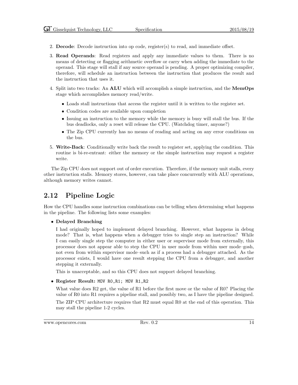- 2. Decode: Decode instruction into op code, register(s) to read, and immediate offset.
- 3. Read Operands: Read registers and apply any immediate values to them. There is no means of detecting or flagging arithmetic overflow or carry when adding the immediate to the operand. This stage will stall if any source operand is pending. A proper optimizing compiler, therefore, will schedule an instruction between the instruction that produces the result and the instruction that uses it.
- 4. Split into two tracks: An ALU which will accomplish a simple instruction, and the MemOps stage which accomplishes memory read/write.
	- Loads stall instructions that access the register until it is written to the register set.
	- Condition codes are available upon completion
	- Issuing an instruction to the memory while the memory is busy will stall the bus. If the bus deadlocks, only a reset will release the CPU. (Watchdog timer, anyone?)
	- The Zip CPU currently has no means of reading and acting on any error conditions on the bus.
- 5. Write-Back: Conditionally write back the result to register set, applying the condition. This routine is bi-re-entrant: either the memory or the simple instruction may request a register write.

The Zip CPU does not support out of order execution. Therefore, if the memory unit stalls, every other instruction stalls. Memory stores, however, can take place concurrently with ALU operations, although memory writes cannot.

### 2.12 Pipeline Logic

How the CPU handles some instruction combinations can be telling when determining what happens in the pipeline. The following lists some examples:

• Delayed Branching

I had originally hoped to implement delayed branching. However, what happens in debug mode? That is, what happens when a debugger tries to single step an instruction? While I can easily single step the computer in either user or supervisor mode from externally, this processor does not appear able to step the CPU in user mode from within user mode–gosh, not even from within supervisor mode–such as if a process had a debugger attached. As the processor exists, I would have one result stepping the CPU from a debugger, and another stepping it externally.

This is unacceptable, and so this CPU does not support delayed branching.

• Register Result: MOV R0,R1; MOV R1,R2

What value does R2 get, the value of R1 before the first move or the value of R0? Placing the value of R0 into R1 requires a pipeline stall, and possibly two, as I have the pipeline designed.

The ZIP CPU architecture requires that R2 must equal R0 at the end of this operation. This may stall the pipeline 1-2 cycles.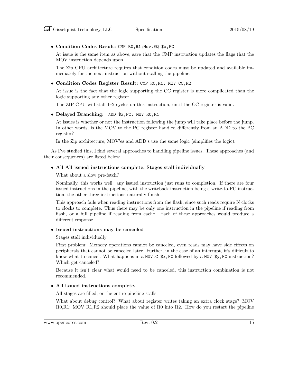#### • Condition Codes Result: CMP R0,R1;Mov.EQ \$x,PC

At issue is the same item as above, save that the CMP instruction updates the flags that the MOV instruction depends upon.

The Zip CPU architecture requires that condition codes must be updated and available immediately for the next instruction without stalling the pipeline.

#### • Condition Codes Register Result: CMP R0,R1; MOV CC,R2

At issue is the fact that the logic supporting the CC register is more complicated than the logic supporting any other register.

The ZIP CPU will stall 1–2 cycles on this instruction, until the CC register is valid.

#### • Delayed Branching: ADD \$x,PC; MOV R0,R1

At issues is whether or not the instruction following the jump will take place before the jump. In other words, is the MOV to the PC register handled differently from an ADD to the PC register?

In the Zip architecture, MOV'es and ADD's use the same logic (simplifies the logic).

As I've studied this, I find several approaches to handling pipeline issues. These approaches (and their consequences) are listed below.

#### • All All issued instructions complete, Stages stall individually

#### What about a slow pre-fetch?

Nominally, this works well: any issued instruction just runs to completion. If there are four issued instructions in the pipeline, with the writeback instruction being a write-to-PC instruction, the other three instructions naturally finish.

This approach fails when reading instructions from the flash, since such reads require N clocks to clocks to complete. Thus there may be only one instruction in the pipeline if reading from flash, or a full pipeline if reading from cache. Each of these approaches would produce a different response.

#### • Issued instructions may be canceled

Stages stall individually

First problem: Memory operations cannot be canceled, even reads may have side effects on peripherals that cannot be canceled later. Further, in the case of an interrupt, it's difficult to know what to cancel. What happens in a MOV.C  $x, PC$  followed by a MOV  $y, PC$  instruction? Which get canceled?

Because it isn't clear what would need to be canceled, this instruction combination is not recommended.

#### • All issued instructions complete.

All stages are filled, or the entire pipeline stalls.

What about debug control? What about register writes taking an extra clock stage? MOV R0,R1; MOV R1,R2 should place the value of R0 into R2. How do you restart the pipeline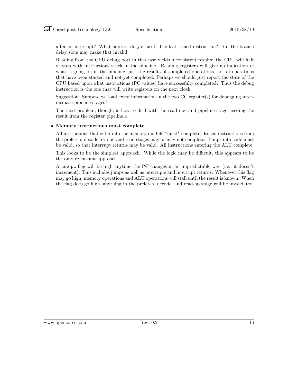after an interrupt? What address do you use? The last issued instruction? But the branch delay slots may make that invalid!

Reading from the CPU debug port in this case yields inconsistent results: the CPU will halt or step with instructions stuck in the pipeline. Reading registers will give no indication of what is going on in the pipeline, just the results of completed operations, not of operations that have been started and not yet completed. Perhaps we should just report the state of the CPU based upon what instructions (PC values) have successfully completed? Thus the debug instruction is the one that will write registers on the next clock.

Suggestion: Suppose we load extra information in the two CC register(s) for debugging intermediate pipeline stages?

The next problem, though, is how to deal with the read operand pipeline stage needing the result from the register pipeline.a

#### • Memory instructions must complete

All instructions that enter into the memory module \*must\* complete. Issued instructions from the prefetch, decode, or operand read stages may or may not complete. Jumps into code must be valid, so that interrupt returns may be valid. All instructions entering the ALU complete.

This looks to be the simplest approach. While the logic may be difficult, this appears to be the only re-entrant approach.

A new pc flag will be high anytime the PC changes in an unpredictable way (i.e., it doesn't increment). This includes jumps as well as interrupts and interrupt returns. Whenever this flag may go high, memory operations and ALU operations will stall until the result is known. When the flag does go high, anything in the prefetch, decode, and read-op stage will be invalidated.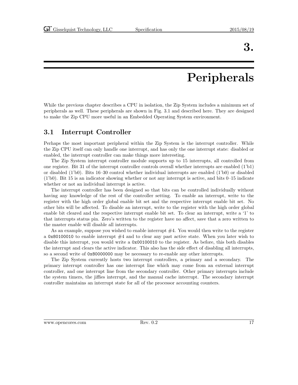## Peripherals

While the previous chapter describes a CPU in isolation, the Zip System includes a minimum set of peripherals as well. These peripherals are shown in Fig. 3.1 and described here. They are designed to make the Zip CPU more useful in an Embedded Operating System environment.

### 3.1 Interrupt Controller

Perhaps the most important peripheral within the Zip System is the interrupt controller. While the Zip CPU itself can only handle one interrupt, and has only the one interrupt state: disabled or enabled, the interrupt controller can make things more interesting.

The Zip System interrupt controller module supports up to 15 interrupts, all controlled from one register. Bit 31 of the interrupt controller controls overall whether interrupts are enabled (1'b1) or disabled (1'b0). Bits 16–30 control whether individual interrupts are enabled (1'b0) or disabled (1'b0). Bit 15 is an indicator showing whether or not any interrupt is active, and bits 0–15 indicate whether or not an individual interrupt is active.

The interrupt controller has been designed so that bits can be controlled individually without having any knowledge of the rest of the controller setting. To enable an interrupt, write to the register with the high order global enable bit set and the respective interrupt enable bit set. No other bits will be affected. To disable an interrupt, write to the register with the high order global enable bit cleared and the respective interrupt enable bit set. To clear an interrupt, write a '1' to that interrupts status pin. Zero's written to the register have no affect, save that a zero written to the master enable will disable all interrupts.

As an example, suppose you wished to enable interrupt  $#4$ . You would then write to the register a 0x80100010 to enable interrupt  $#4$  and to clear any past active state. When you later wish to disable this interrupt, you would write a 0x00100010 to the register. As before, this both disables the interrupt and clears the active indicator. This also has the side effect of disabling all interrupts, so a second write of 0x80000000 may be necessary to re-enable any other interrupts.

The Zip System currently hosts two interrupt controllers, a primary and a secondary. The primary interrupt controller has one interrupt line which may come from an external interrupt controller, and one interrupt line from the secondary controller. Other primary interrupts include the system timers, the jiffies interrupt, and the manual cache interrupt. The secondary interrupt controller maintains an interrupt state for all of the processor accounting counters.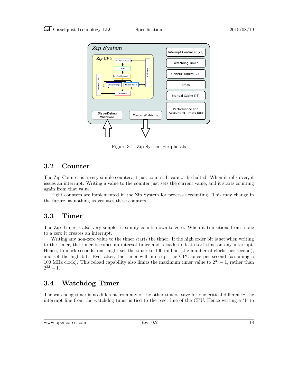

Figure 3.1: Zip System Peripherals

### 3.2 Counter

The Zip Counter is a very simple counter: it just counts. It cannot be halted. When it rolls over, it issues an interrupt. Writing a value to the counter just sets the current value, and it starts counting again from that value.

Eight counters are implemented in the Zip System for process accounting. This may change in the future, as nothing as yet uses these counters.

### 3.3 Timer

The Zip Timer is also very simple: it simply counts down to zero. When it transitions from a one to a zero it creates an interrupt.

Writing any non-zero value to the timer starts the timer. If the high order bit is set when writing to the timer, the timer becomes an interval timer and reloads its last start time on any interrupt. Hence, to mark seconds, one might set the timer to 100 million (the number of clocks per second), and set the high bit. Ever after, the timer will interrupt the CPU once per second (assuming a 100 MHz clock). This reload capability also limits the maximum timer value to  $2^{31} - 1$ , rather than  $2^{32} - 1.$ 

### 3.4 Watchdog Timer

The watchdog timer is no different from any of the other timers, save for one critical difference: the interrupt line from the watchdog timer is tied to the reset line of the CPU. Hence writing a '1' to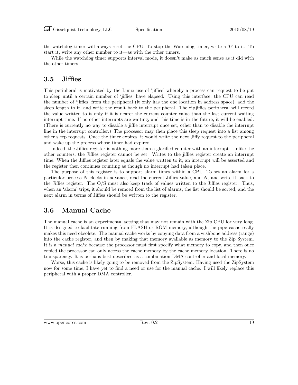the watchdog timer will always reset the CPU. To stop the Watchdog timer, write a '0' to it. To start it, write any other number to it—as with the other timers.

While the watchdog timer supports interval mode, it doesn't make as much sense as it did with the other timers.

### 3.5 Jiffies

This peripheral is motivated by the Linux use of 'jiffies' whereby a process can request to be put to sleep until a certain number of 'jiffies' have elapsed. Using this interface, the CPU can read the number of 'jiffies' from the peripheral (it only has the one location in address space), add the sleep length to it, and write the result back to the peripheral. The zipjiffies peripheral will record the value written to it only if it is nearer the current counter value than the last current waiting interrupt time. If no other interrupts are waiting, and this time is in the future, it will be enabled. (There is currently no way to disable a jiffie interrupt once set, other than to disable the interrupt line in the interrupt controller.) The processor may then place this sleep request into a list among other sleep requests. Once the timer expires, it would write the next Jiffy request to the peripheral and wake up the process whose timer had expired.

Indeed, the Jiffies register is nothing more than a glorified counter with an interrupt. Unlike the other counters, the Jiffies register cannot be set. Writes to the jiffies register create an interrupt time. When the Jiffies register later equals the value written to it, an interrupt will be asserted and the register then continues counting as though no interrupt had taken place.

The purpose of this register is to support alarm times within a CPU. To set an alarm for a particular process  $N$  clocks in advance, read the current Jiffies value, and  $N$ , and write it back to the Jiffies register. The O/S must also keep track of values written to the Jiffies register. Thus, when an 'alarm' trips, it should be remoed from the list of alarms, the list should be sorted, and the next alarm in terms of Jiffies should be written to the register.

### 3.6 Manual Cache

The manual cache is an experimental setting that may not remain with the Zip CPU for very long. It is designed to facilitate running from FLASH or ROM memory, although the pipe cache really makes this need obsolete. The manual cache works by copying data from a wishbone address (range) into the cache register, and then by making that memory available as memory to the Zip System. It is a *manual cache* because the processor must first specify what memory to copy, and then once copied the processor can only access the cache memory by the cache memory location. There is no transparency. It is perhaps best described as a combination DMA controller and local memory.

Worse, this cache is likely going to be removed from the ZipSystem. Having used the ZipSystem now for some time, I have yet to find a need or use for the manual cache. I will likely replace this peripheral with a proper DMA controller.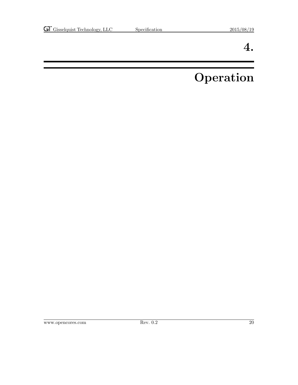## Operation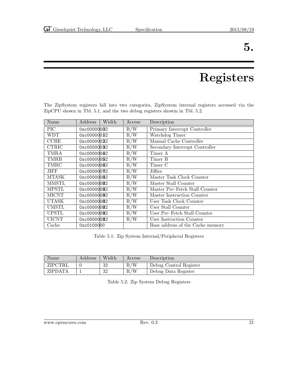## Registers

The ZipSystem registers fall into two categories, ZipSystem internal registers accessed via the ZipCPU shown in Tbl. 5.1, and the two debug registers showin in Tbl. 5.2.

| Name         | Address      | Width | Access | Description                      |
|--------------|--------------|-------|--------|----------------------------------|
| PIC          | 0xc00000032  |       | R/W    | Primary Interrupt Controller     |
| WDT          | 0xc00000032  |       | R/W    | Watchdog Timer                   |
| <b>CCHE</b>  | 0xc00000022  |       | R/W    | Manual Cache Controller          |
| <b>CTRIC</b> | 0xc00000032  |       | R/W    | Secondary Interrupt Controller   |
| TMRA         | 0xc00000042  |       | R/W    | Timer A                          |
| <b>TMRB</b>  | 0xc00000052  |       | R/W    | Timer B                          |
| TMRC         | 0xc000000032 |       | R/W    | Timer C                          |
| JIFF         | 0xc000000782 |       | R/W    | Jiffies                          |
| MTASK        | 0xc00000082  |       | R/W    | Master Task Clock Counter        |
| MMSTL        | 0xc00000082  |       | R/W    | Master Stall Counter             |
| <b>MPSTL</b> | 0xc00000082  |       | R/W    | Master Pre-Fetch Stall Counter   |
| <b>MICNT</b> | 0xc00000082  |       | R/W    | Master Instruction Counter       |
| <b>UTASK</b> | 0xc00000082  |       | R/W    | User Task Clock Counter          |
| <b>UMSTL</b> | 0xc00000082  |       | R/W    | User Stall Counter               |
| <b>UPSTL</b> | 0xc00000082  |       | R/W    | User Pre–Fetch Stall Counter     |
| <b>UICNT</b> | 0xc00000082  |       | R/W    | User Instruction Counter         |
| Cache        | 0xc0100000   |       |        | Base address of the Cache memory |

Table 5.1: Zip System Internal/Peripheral Registers

| Name           | Address | Width     | Access | Description            |
|----------------|---------|-----------|--------|------------------------|
| ZIPCTRL        |         | 32        | R/W    | Debug Control Register |
| <b>ZIPDATA</b> |         | ാറ<br>∙J∠ | R/W    | Debug Data Register    |

Table 5.2: Zip System Debug Registers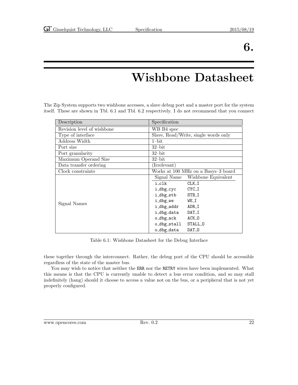## Wishbone Datasheet

The Zip System supports two wishbone accesses, a slave debug port and a master port for the system itself. These are shown in Tbl. 6.1 and Tbl. 6.2 respectively. I do not recommend that you connect

| Description                | Specification                        |  |
|----------------------------|--------------------------------------|--|
| Revision level of wishbone | WB B4 spec                           |  |
| Type of interface          | Slave, Read/Write, single words only |  |
| Address Width              | $1$ -bit                             |  |
| Port size                  | $32$ -bit                            |  |
| Port granularity           | $32$ -bit                            |  |
| Maximum Operand Size       | $32$ -bit                            |  |
| Data transfer ordering     | $(\overline{\text{Irrelevant}})$     |  |
| Clock constraints          | Works at 100 MHz on a Basys-3 board  |  |
|                            | Signal Name<br>Wishbone Equivalent   |  |
|                            | i_clk<br>$CLK_I$                     |  |
|                            | CYC_I<br>i_dbg_cyc                   |  |
|                            | i_dbg_stb<br>STB_I                   |  |
| Signal Names               | i_dbg_we<br>WE_I                     |  |
|                            | i_dbg_addr<br>ADR_I                  |  |
|                            | i_dbg_data<br>DAT_I                  |  |
|                            | o_dbg_ack<br>ACK_0                   |  |
|                            | STALL_0<br>o_dbg_stall               |  |
|                            | o_dbg_data<br>DAT <sub>-0</sub>      |  |

Table 6.1: Wishbone Datasheet for the Debug Interface

these together through the interconnect. Rather, the debug port of the CPU should be accessible regardless of the state of the master bus.

You may wish to notice that neither the ERR nor the RETRY wires have been implemented. What this means is that the CPU is currently unable to detect a bus error condition, and so may stall indefinitely (hang) should it choose to access a value not on the bus, or a peripheral that is not yet properly configured.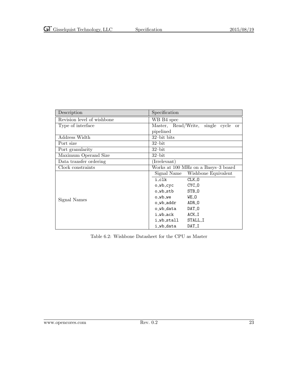| Description                | Specification                       |
|----------------------------|-------------------------------------|
| Revision level of wishbone | WB B4 spec                          |
| Type of interface          | Master, Read/Write, single cycle or |
|                            | pipelined                           |
| Address Width              | $32$ -bit bits                      |
| Port size                  | $32$ -bit                           |
| Port granularity           | $32$ -bit                           |
| Maximum Operand Size       | $32$ -bit                           |
| Data transfer ordering     | (Irrelevant)                        |
| Clock constraints          | Works at 100 MHz on a Basys-3 board |
|                            | Signal Name Wishbone Equivalent     |
|                            | i_clk<br>CLK 0                      |
|                            | CYC_0<br>o_wb_cyc                   |
|                            | STB_0<br>o_wb_stb                   |
| Signal Names               | WE_O<br>o_wb_we                     |
|                            | o_wb_addr<br>ADR_0                  |
|                            | DAT_0<br>o_wb_data                  |
|                            | $ACK_I$<br>i_wb_ack                 |
|                            | STALL_I<br>i_wb_stall               |
|                            | i_wb_data<br>DAT_I                  |

Table 6.2: Wishbone Datasheet for the CPU as Master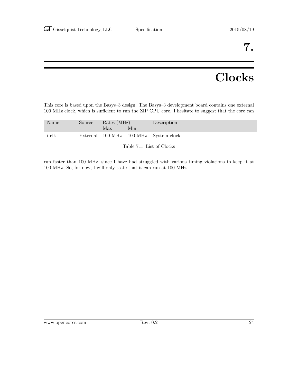## **Clocks**

This core is based upon the Basys–3 design. The Basys–3 development board contains one external 100 MHz clock, which is sufficient to run the ZIP CPU core. I hesitate to suggest that the core can

| Name  | Source   | Rates (MHz) |                     | Description   |
|-------|----------|-------------|---------------------|---------------|
|       |          | Max         | Min                 |               |
| i_clk | External | $100$ MHz   | $100\;\mathrm{MHz}$ | System clock. |

Table 7.1: List of Clocks

run faster than 100 MHz, since I have had struggled with various timing violations to keep it at 100 MHz. So, for now, I will only state that it can run at 100 MHz.